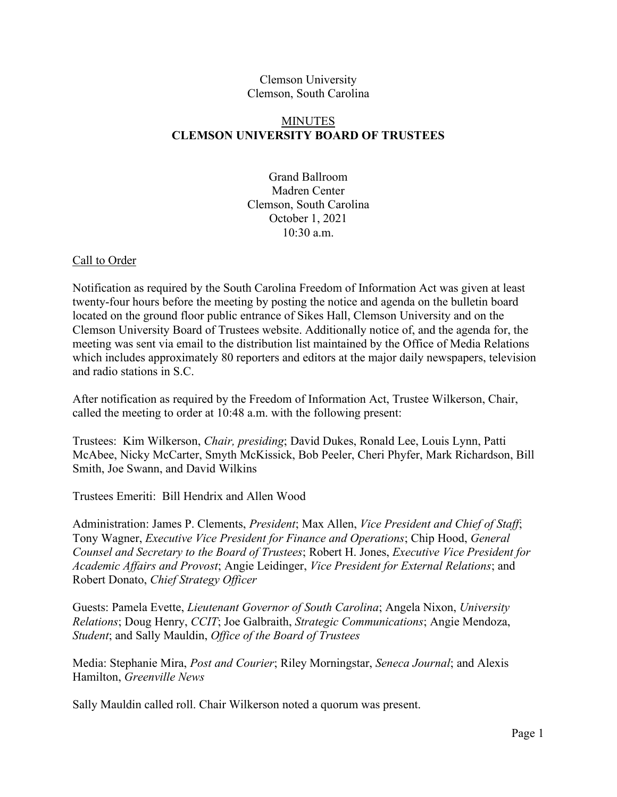### Clemson University Clemson, South Carolina

# MINUTES **CLEMSON UNIVERSITY BOARD OF TRUSTEES**

Grand Ballroom Madren Center Clemson, South Carolina October 1, 2021 10:30 a.m.

### Call to Order

Notification as required by the South Carolina Freedom of Information Act was given at least twenty-four hours before the meeting by posting the notice and agenda on the bulletin board located on the ground floor public entrance of Sikes Hall, Clemson University and on the Clemson University Board of Trustees website. Additionally notice of, and the agenda for, the meeting was sent via email to the distribution list maintained by the Office of Media Relations which includes approximately 80 reporters and editors at the major daily newspapers, television and radio stations in S.C.

After notification as required by the Freedom of Information Act, Trustee Wilkerson, Chair, called the meeting to order at 10:48 a.m. with the following present:

Trustees: Kim Wilkerson, *Chair, presiding*; David Dukes, Ronald Lee, Louis Lynn, Patti McAbee, Nicky McCarter, Smyth McKissick, Bob Peeler, Cheri Phyfer, Mark Richardson, Bill Smith, Joe Swann, and David Wilkins

Trustees Emeriti: Bill Hendrix and Allen Wood

Administration: James P. Clements, *President*; Max Allen, *Vice President and Chief of Staff*; Tony Wagner, *Executive Vice President for Finance and Operations*; Chip Hood, *General Counsel and Secretary to the Board of Trustees*; Robert H. Jones, *Executive Vice President for Academic Affairs and Provost*; Angie Leidinger, *Vice President for External Relations*; and Robert Donato, *Chief Strategy Officer*

Guests: Pamela Evette, *Lieutenant Governor of South Carolina*; Angela Nixon, *University Relations*; Doug Henry, *CCIT*; Joe Galbraith, *Strategic Communications*; Angie Mendoza, *Student*; and Sally Mauldin, *Office of the Board of Trustees*

Media: Stephanie Mira, *Post and Courier*; Riley Morningstar, *Seneca Journal*; and Alexis Hamilton, *Greenville News*

Sally Mauldin called roll. Chair Wilkerson noted a quorum was present.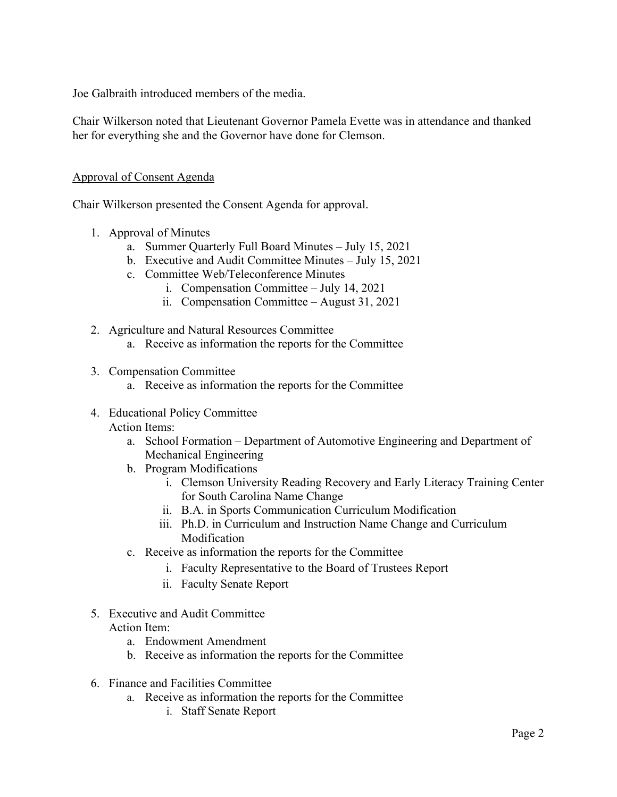Joe Galbraith introduced members of the media.

Chair Wilkerson noted that Lieutenant Governor Pamela Evette was in attendance and thanked her for everything she and the Governor have done for Clemson.

## Approval of Consent Agenda

Chair Wilkerson presented the Consent Agenda for approval.

- 1. Approval of Minutes
	- a. Summer Quarterly Full Board Minutes July 15, 2021
	- b. Executive and Audit Committee Minutes July 15, 2021
	- c. Committee Web/Teleconference Minutes
		- i. Compensation Committee July 14, 2021
		- ii. Compensation Committee August 31, 2021
- 2. Agriculture and Natural Resources Committee
	- a. Receive as information the reports for the Committee
- 3. Compensation Committee
	- a. Receive as information the reports for the Committee
- 4. Educational Policy Committee Action Items:
	- a. School Formation Department of Automotive Engineering and Department of Mechanical Engineering
	- b. Program Modifications
		- i. Clemson University Reading Recovery and Early Literacy Training Center for South Carolina Name Change
		- ii. B.A. in Sports Communication Curriculum Modification
		- iii. Ph.D. in Curriculum and Instruction Name Change and Curriculum Modification
	- c. Receive as information the reports for the Committee
		- i. Faculty Representative to the Board of Trustees Report
		- ii. Faculty Senate Report
- 5. Executive and Audit Committee

### Action Item:

- a. Endowment Amendment
- b. Receive as information the reports for the Committee
- 6. Finance and Facilities Committee
	- a. Receive as information the reports for the Committee
		- i. Staff Senate Report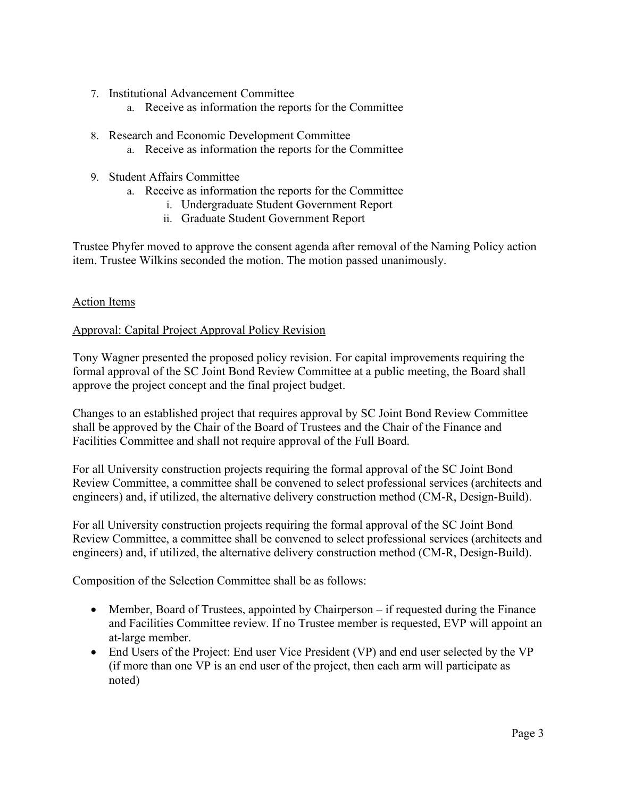- 7. Institutional Advancement Committee
	- a. Receive as information the reports for the Committee
- 8. Research and Economic Development Committee
	- a. Receive as information the reports for the Committee
- 9. Student Affairs Committee
	- a. Receive as information the reports for the Committee
		- i. Undergraduate Student Government Report
		- ii. Graduate Student Government Report

Trustee Phyfer moved to approve the consent agenda after removal of the Naming Policy action item. Trustee Wilkins seconded the motion. The motion passed unanimously.

### Action Items

### Approval: Capital Project Approval Policy Revision

Tony Wagner presented the proposed policy revision. For capital improvements requiring the formal approval of the SC Joint Bond Review Committee at a public meeting, the Board shall approve the project concept and the final project budget.

Changes to an established project that requires approval by SC Joint Bond Review Committee shall be approved by the Chair of the Board of Trustees and the Chair of the Finance and Facilities Committee and shall not require approval of the Full Board.

For all University construction projects requiring the formal approval of the SC Joint Bond Review Committee, a committee shall be convened to select professional services (architects and engineers) and, if utilized, the alternative delivery construction method (CM-R, Design-Build).

For all University construction projects requiring the formal approval of the SC Joint Bond Review Committee, a committee shall be convened to select professional services (architects and engineers) and, if utilized, the alternative delivery construction method (CM-R, Design-Build).

Composition of the Selection Committee shall be as follows:

- Member, Board of Trustees, appointed by Chairperson if requested during the Finance and Facilities Committee review. If no Trustee member is requested, EVP will appoint an at-large member.
- End Users of the Project: End user Vice President (VP) and end user selected by the VP (if more than one VP is an end user of the project, then each arm will participate as noted)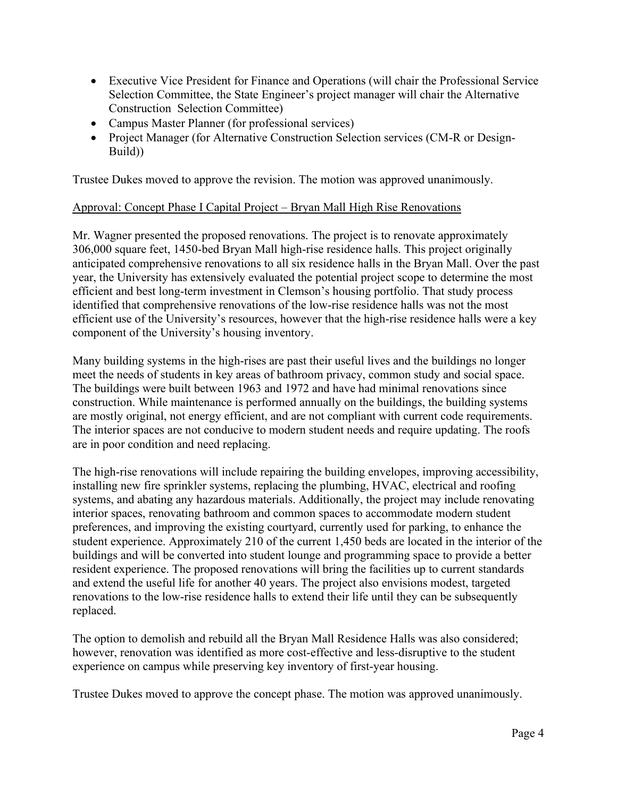- Executive Vice President for Finance and Operations (will chair the Professional Service Selection Committee, the State Engineer's project manager will chair the Alternative Construction Selection Committee)
- Campus Master Planner (for professional services)
- Project Manager (for Alternative Construction Selection services (CM-R or Design-Build))

Trustee Dukes moved to approve the revision. The motion was approved unanimously.

## Approval: Concept Phase I Capital Project – Bryan Mall High Rise Renovations

Mr. Wagner presented the proposed renovations. The project is to renovate approximately 306,000 square feet, 1450-bed Bryan Mall high-rise residence halls. This project originally anticipated comprehensive renovations to all six residence halls in the Bryan Mall. Over the past year, the University has extensively evaluated the potential project scope to determine the most efficient and best long-term investment in Clemson's housing portfolio. That study process identified that comprehensive renovations of the low-rise residence halls was not the most efficient use of the University's resources, however that the high-rise residence halls were a key component of the University's housing inventory.

Many building systems in the high-rises are past their useful lives and the buildings no longer meet the needs of students in key areas of bathroom privacy, common study and social space. The buildings were built between 1963 and 1972 and have had minimal renovations since construction. While maintenance is performed annually on the buildings, the building systems are mostly original, not energy efficient, and are not compliant with current code requirements. The interior spaces are not conducive to modern student needs and require updating. The roofs are in poor condition and need replacing.

The high-rise renovations will include repairing the building envelopes, improving accessibility, installing new fire sprinkler systems, replacing the plumbing, HVAC, electrical and roofing systems, and abating any hazardous materials. Additionally, the project may include renovating interior spaces, renovating bathroom and common spaces to accommodate modern student preferences, and improving the existing courtyard, currently used for parking, to enhance the student experience. Approximately 210 of the current 1,450 beds are located in the interior of the buildings and will be converted into student lounge and programming space to provide a better resident experience. The proposed renovations will bring the facilities up to current standards and extend the useful life for another 40 years. The project also envisions modest, targeted renovations to the low-rise residence halls to extend their life until they can be subsequently replaced.

The option to demolish and rebuild all the Bryan Mall Residence Halls was also considered; however, renovation was identified as more cost-effective and less-disruptive to the student experience on campus while preserving key inventory of first-year housing.

Trustee Dukes moved to approve the concept phase. The motion was approved unanimously.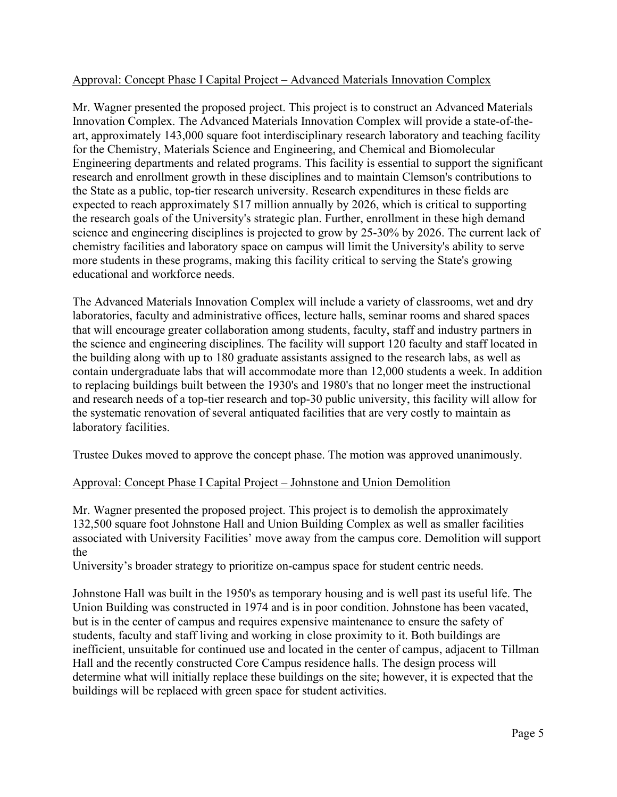## Approval: Concept Phase I Capital Project – Advanced Materials Innovation Complex

Mr. Wagner presented the proposed project. This project is to construct an Advanced Materials Innovation Complex. The Advanced Materials Innovation Complex will provide a state-of-theart, approximately 143,000 square foot interdisciplinary research laboratory and teaching facility for the Chemistry, Materials Science and Engineering, and Chemical and Biomolecular Engineering departments and related programs. This facility is essential to support the significant research and enrollment growth in these disciplines and to maintain Clemson's contributions to the State as a public, top-tier research university. Research expenditures in these fields are expected to reach approximately \$17 million annually by 2026, which is critical to supporting the research goals of the University's strategic plan. Further, enrollment in these high demand science and engineering disciplines is projected to grow by 25-30% by 2026. The current lack of chemistry facilities and laboratory space on campus will limit the University's ability to serve more students in these programs, making this facility critical to serving the State's growing educational and workforce needs.

The Advanced Materials Innovation Complex will include a variety of classrooms, wet and dry laboratories, faculty and administrative offices, lecture halls, seminar rooms and shared spaces that will encourage greater collaboration among students, faculty, staff and industry partners in the science and engineering disciplines. The facility will support 120 faculty and staff located in the building along with up to 180 graduate assistants assigned to the research labs, as well as contain undergraduate labs that will accommodate more than 12,000 students a week. In addition to replacing buildings built between the 1930's and 1980's that no longer meet the instructional and research needs of a top-tier research and top-30 public university, this facility will allow for the systematic renovation of several antiquated facilities that are very costly to maintain as laboratory facilities.

Trustee Dukes moved to approve the concept phase. The motion was approved unanimously.

## Approval: Concept Phase I Capital Project – Johnstone and Union Demolition

Mr. Wagner presented the proposed project. This project is to demolish the approximately 132,500 square foot Johnstone Hall and Union Building Complex as well as smaller facilities associated with University Facilities' move away from the campus core. Demolition will support the

University's broader strategy to prioritize on-campus space for student centric needs.

Johnstone Hall was built in the 1950's as temporary housing and is well past its useful life. The Union Building was constructed in 1974 and is in poor condition. Johnstone has been vacated, but is in the center of campus and requires expensive maintenance to ensure the safety of students, faculty and staff living and working in close proximity to it. Both buildings are inefficient, unsuitable for continued use and located in the center of campus, adjacent to Tillman Hall and the recently constructed Core Campus residence halls. The design process will determine what will initially replace these buildings on the site; however, it is expected that the buildings will be replaced with green space for student activities.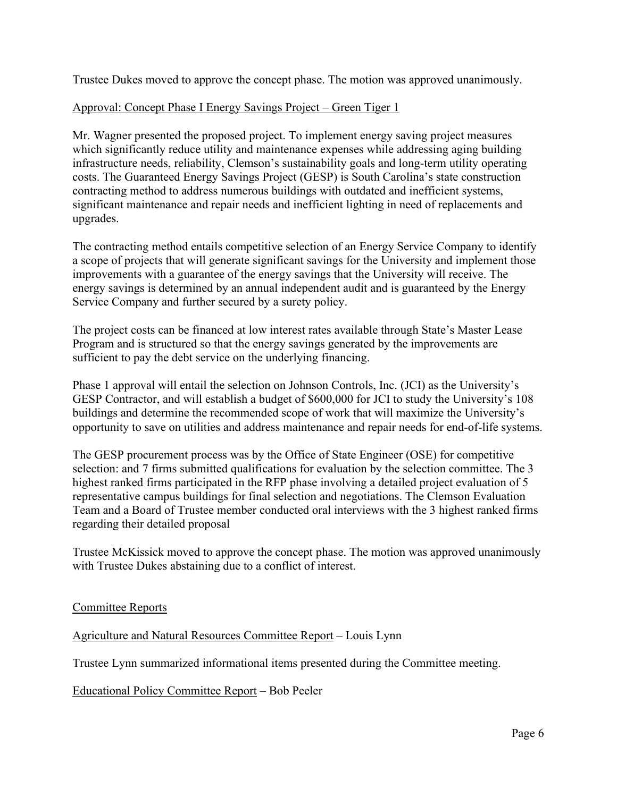Trustee Dukes moved to approve the concept phase. The motion was approved unanimously.

### Approval: Concept Phase I Energy Savings Project – Green Tiger 1

Mr. Wagner presented the proposed project. To implement energy saving project measures which significantly reduce utility and maintenance expenses while addressing aging building infrastructure needs, reliability, Clemson's sustainability goals and long-term utility operating costs. The Guaranteed Energy Savings Project (GESP) is South Carolina's state construction contracting method to address numerous buildings with outdated and inefficient systems, significant maintenance and repair needs and inefficient lighting in need of replacements and upgrades.

The contracting method entails competitive selection of an Energy Service Company to identify a scope of projects that will generate significant savings for the University and implement those improvements with a guarantee of the energy savings that the University will receive. The energy savings is determined by an annual independent audit and is guaranteed by the Energy Service Company and further secured by a surety policy.

The project costs can be financed at low interest rates available through State's Master Lease Program and is structured so that the energy savings generated by the improvements are sufficient to pay the debt service on the underlying financing.

Phase 1 approval will entail the selection on Johnson Controls, Inc. (JCI) as the University's GESP Contractor, and will establish a budget of \$600,000 for JCI to study the University's 108 buildings and determine the recommended scope of work that will maximize the University's opportunity to save on utilities and address maintenance and repair needs for end-of-life systems.

The GESP procurement process was by the Office of State Engineer (OSE) for competitive selection: and 7 firms submitted qualifications for evaluation by the selection committee. The 3 highest ranked firms participated in the RFP phase involving a detailed project evaluation of 5 representative campus buildings for final selection and negotiations. The Clemson Evaluation Team and a Board of Trustee member conducted oral interviews with the 3 highest ranked firms regarding their detailed proposal

Trustee McKissick moved to approve the concept phase. The motion was approved unanimously with Trustee Dukes abstaining due to a conflict of interest.

### Committee Reports

Agriculture and Natural Resources Committee Report – Louis Lynn

Trustee Lynn summarized informational items presented during the Committee meeting.

Educational Policy Committee Report – Bob Peeler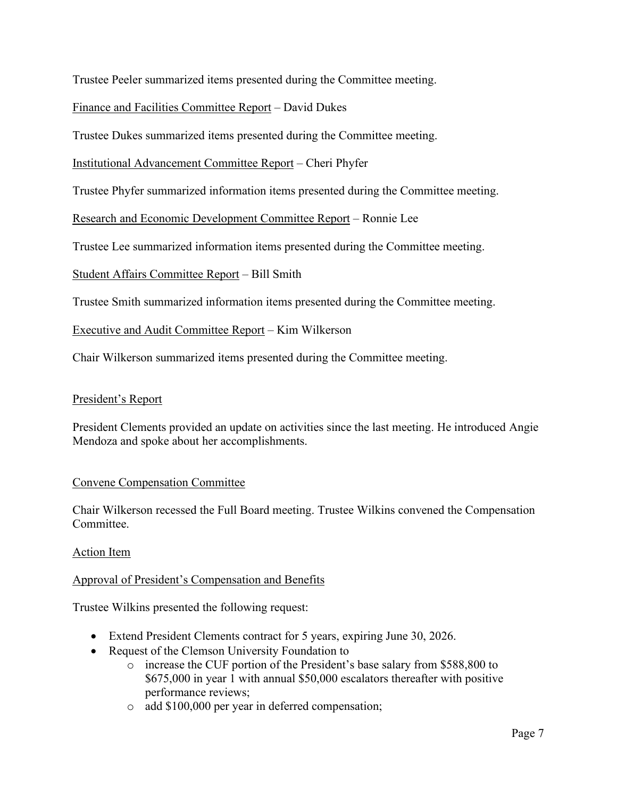Trustee Peeler summarized items presented during the Committee meeting.

## Finance and Facilities Committee Report – David Dukes

Trustee Dukes summarized items presented during the Committee meeting.

## Institutional Advancement Committee Report – Cheri Phyfer

Trustee Phyfer summarized information items presented during the Committee meeting.

Research and Economic Development Committee Report – Ronnie Lee

Trustee Lee summarized information items presented during the Committee meeting.

Student Affairs Committee Report – Bill Smith

Trustee Smith summarized information items presented during the Committee meeting.

Executive and Audit Committee Report – Kim Wilkerson

Chair Wilkerson summarized items presented during the Committee meeting.

### President's Report

President Clements provided an update on activities since the last meeting. He introduced Angie Mendoza and spoke about her accomplishments.

### Convene Compensation Committee

Chair Wilkerson recessed the Full Board meeting. Trustee Wilkins convened the Compensation Committee.

### Action Item

### Approval of President's Compensation and Benefits

Trustee Wilkins presented the following request:

- Extend President Clements contract for 5 years, expiring June 30, 2026.
- Request of the Clemson University Foundation to
	- o increase the CUF portion of the President's base salary from \$588,800 to \$675,000 in year 1 with annual \$50,000 escalators thereafter with positive performance reviews;
	- o add \$100,000 per year in deferred compensation;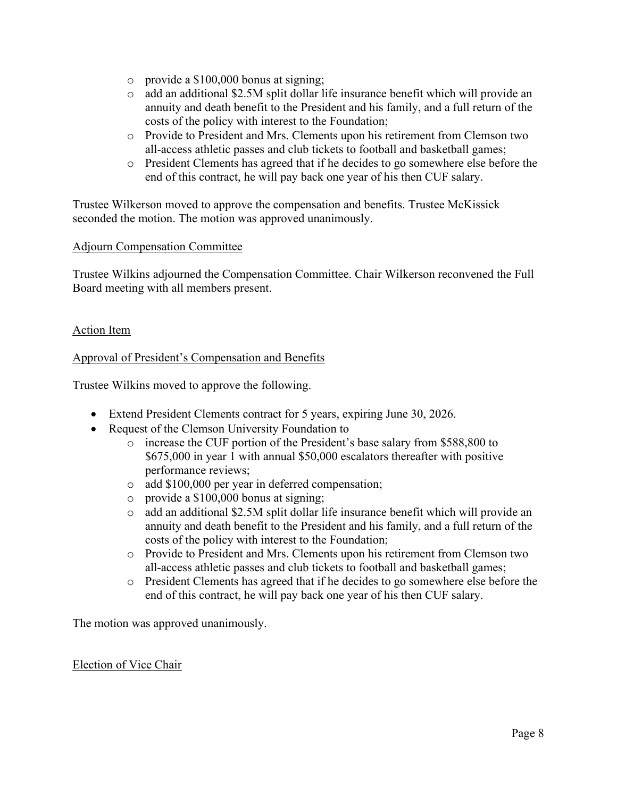- o provide a \$100,000 bonus at signing;
- o add an additional \$2.5M split dollar life insurance benefit which will provide an annuity and death benefit to the President and his family, and a full return of the costs of the policy with interest to the Foundation;
- o Provide to President and Mrs. Clements upon his retirement from Clemson two all-access athletic passes and club tickets to football and basketball games;
- o President Clements has agreed that if he decides to go somewhere else before the end of this contract, he will pay back one year of his then CUF salary.

Trustee Wilkerson moved to approve the compensation and benefits. Trustee McKissick seconded the motion. The motion was approved unanimously.

## Adjourn Compensation Committee

Trustee Wilkins adjourned the Compensation Committee. Chair Wilkerson reconvened the Full Board meeting with all members present.

## Action Item

## Approval of President's Compensation and Benefits

Trustee Wilkins moved to approve the following.

- Extend President Clements contract for 5 years, expiring June 30, 2026.
- Request of the Clemson University Foundation to
	- o increase the CUF portion of the President's base salary from \$588,800 to \$675,000 in year 1 with annual \$50,000 escalators thereafter with positive performance reviews;
	- o add \$100,000 per year in deferred compensation;
	- o provide a \$100,000 bonus at signing;
	- o add an additional \$2.5M split dollar life insurance benefit which will provide an annuity and death benefit to the President and his family, and a full return of the costs of the policy with interest to the Foundation;
	- o Provide to President and Mrs. Clements upon his retirement from Clemson two all-access athletic passes and club tickets to football and basketball games;
	- o President Clements has agreed that if he decides to go somewhere else before the end of this contract, he will pay back one year of his then CUF salary.

The motion was approved unanimously.

### Election of Vice Chair